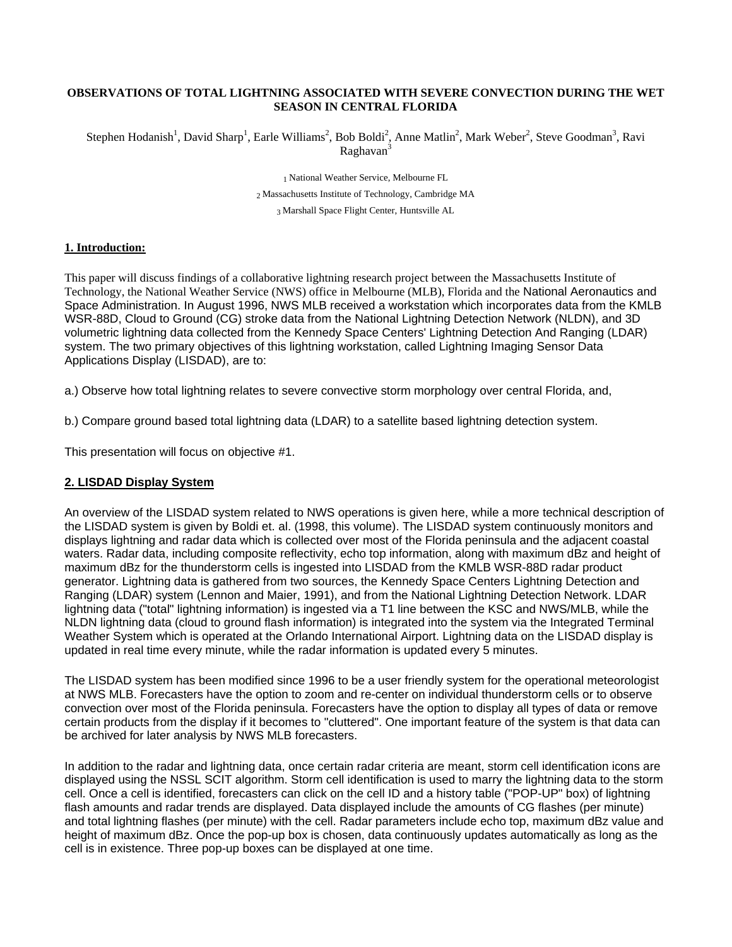#### **OBSERVATIONS OF TOTAL LIGHTNING ASSOCIATED WITH SEVERE CONVECTION DURING THE WET SEASON IN CENTRAL FLORIDA**

Stephen Hodanish<sup>1</sup>, David Sharp<sup>1</sup>, Earle Williams<sup>2</sup>, Bob Boldi<sup>2</sup>, Anne Matlin<sup>2</sup>, Mark Weber<sup>2</sup>, Steve Goodman<sup>3</sup>, Ravi Raghavan<sup>3</sup>

1 National Weather Service, Melbourne FL<br>
2 Massachusetts Institute of Technology, Cambridge MA<br>
3 Marshall Space Flight Center, Huntsville AL

#### **1. Introduction:**

This paper will discuss findings of a collaborative lightning research project between the Massachusetts Institute of Technology, the National Weather Service (NWS) office in Melbourne (MLB), Florida and the National Aeronautics and Space Administration. In August 1996, NWS MLB received a workstation which incorporates data from the KMLB WSR-88D, Cloud to Ground (CG) stroke data from the National Lightning Detection Network (NLDN), and 3D volumetric lightning data collected from the Kennedy Space Centers' Lightning Detection And Ranging (LDAR) system. The two primary objectives of this lightning workstation, called Lightning Imaging Sensor Data Applications Display (LISDAD), are to:

a.) Observe how total lightning relates to severe convective storm morphology over central Florida, and,

b.) Compare ground based total lightning data (LDAR) to a satellite based lightning detection system.

This presentation will focus on objective #1.

#### **2. LISDAD Display System**

An overview of the LISDAD system related to NWS operations is given here, while a more technical description of the LISDAD system is given by Boldi et. al. (1998, this volume). The LISDAD system continuously monitors and displays lightning and radar data which is collected over most of the Florida peninsula and the adjacent coastal waters. Radar data, including composite reflectivity, echo top information, along with maximum dBz and height of maximum dBz for the thunderstorm cells is ingested into LISDAD from the KMLB WSR-88D radar product generator. Lightning data is gathered from two sources, the Kennedy Space Centers Lightning Detection and Ranging (LDAR) system (Lennon and Maier, 1991), and from the National Lightning Detection Network. LDAR lightning data ("total" lightning information) is ingested via a T1 line between the KSC and NWS/MLB, while the NLDN lightning data (cloud to ground flash information) is integrated into the system via the Integrated Terminal Weather System which is operated at the Orlando International Airport. Lightning data on the LISDAD display is updated in real time every minute, while the radar information is updated every 5 minutes.

The LISDAD system has been modified since 1996 to be a user friendly system for the operational meteorologist at NWS MLB. Forecasters have the option to zoom and re-center on individual thunderstorm cells or to observe convection over most of the Florida peninsula. Forecasters have the option to display all types of data or remove certain products from the display if it becomes to "cluttered". One important feature of the system is that data can be archived for later analysis by NWS MLB forecasters.

In addition to the radar and lightning data, once certain radar criteria are meant, storm cell identification icons are displayed using the NSSL SCIT algorithm. Storm cell identification is used to marry the lightning data to the storm cell. Once a cell is identified, forecasters can click on the cell ID and a history table ("POP-UP" box) of lightning flash amounts and radar trends are displayed. Data displayed include the amounts of CG flashes (per minute) and total lightning flashes (per minute) with the cell. Radar parameters include echo top, maximum dBz value and height of maximum dBz. Once the pop-up box is chosen, data continuously updates automatically as long as the cell is in existence. Three pop-up boxes can be displayed at one time.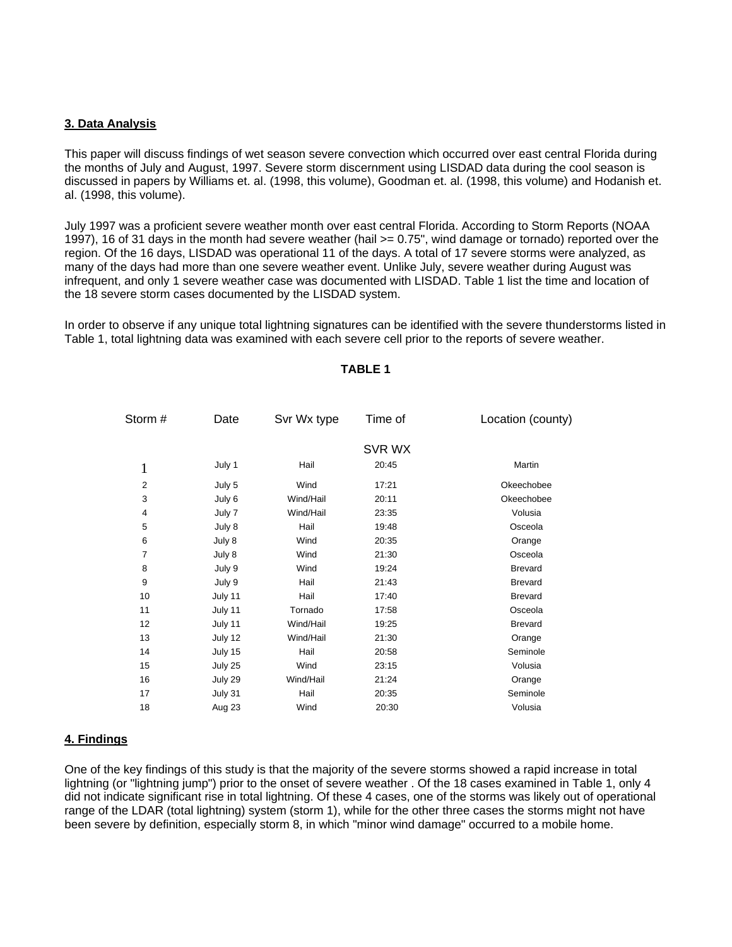### **3. Data Analysis**

This paper will discuss findings of wet season severe convection which occurred over east central Florida during the months of July and August, 1997. Severe storm discernment using LISDAD data during the cool season is discussed in papers by Williams et. al. (1998, this volume), Goodman et. al. (1998, this volume) and Hodanish et. al. (1998, this volume).

July 1997 was a proficient severe weather month over east central Florida. According to Storm Reports (NOAA 1997), 16 of 31 days in the month had severe weather (hail >= 0.75", wind damage or tornado) reported over the region. Of the 16 days, LISDAD was operational 11 of the days. A total of 17 severe storms were analyzed, as many of the days had more than one severe weather event. Unlike July, severe weather during August was infrequent, and only 1 severe weather case was documented with LISDAD. Table 1 list the time and location of the 18 severe storm cases documented by the LISDAD system.

In order to observe if any unique total lightning signatures can be identified with the severe thunderstorms listed in Table 1, total lightning data was examined with each severe cell prior to the reports of severe weather.

| Storm #<br>Date |         | Svr Wx type | Time of | Location (county) |
|-----------------|---------|-------------|---------|-------------------|
|                 |         |             | SVR WX  |                   |
| 1               | July 1  | Hail        | 20:45   | Martin            |
| $\overline{2}$  | July 5  | Wind        | 17:21   | Okeechobee        |
| 3               | July 6  | Wind/Hail   | 20:11   | Okeechobee        |
| 4               | July 7  | Wind/Hail   | 23:35   | Volusia           |
| 5               | July 8  | Hail        | 19:48   | Osceola           |
| 6               | July 8  | Wind        | 20:35   | Orange            |
| $\overline{7}$  | July 8  | Wind        | 21:30   | Osceola           |
| 8               | July 9  | Wind        | 19:24   | <b>Brevard</b>    |
| 9               | July 9  | Hail        | 21:43   | <b>Brevard</b>    |
| 10              | July 11 | Hail        | 17:40   | <b>Brevard</b>    |
| 11              | July 11 | Tornado     | 17:58   | Osceola           |
| 12              | July 11 | Wind/Hail   | 19:25   | <b>Brevard</b>    |
| 13              | July 12 | Wind/Hail   | 21:30   | Orange            |
| 14              | July 15 | Hail        | 20:58   | Seminole          |
| 15              | July 25 | Wind        | 23:15   | Volusia           |
| 16              | July 29 | Wind/Hail   | 21:24   | Orange            |
| 17              | July 31 | Hail        | 20:35   | Seminole          |
| 18              | Aug 23  | Wind        | 20:30   | Volusia           |
|                 |         |             |         |                   |

#### **TABLE 1**

#### **4. Findings**

One of the key findings of this study is that the majority of the severe storms showed a rapid increase in total lightning (or "lightning jump") prior to the onset of severe weather. Of the 18 cases examined in Table 1, only 4 did not indicate significant rise in total lightning. Of these 4 cases, one of the storms was likely out of operational range of the LDAR (total lightning) system (storm 1), while for the other three cases the storms might not have been severe by definition, especially storm 8, in which "minor wind damage" occurred to a mobile home.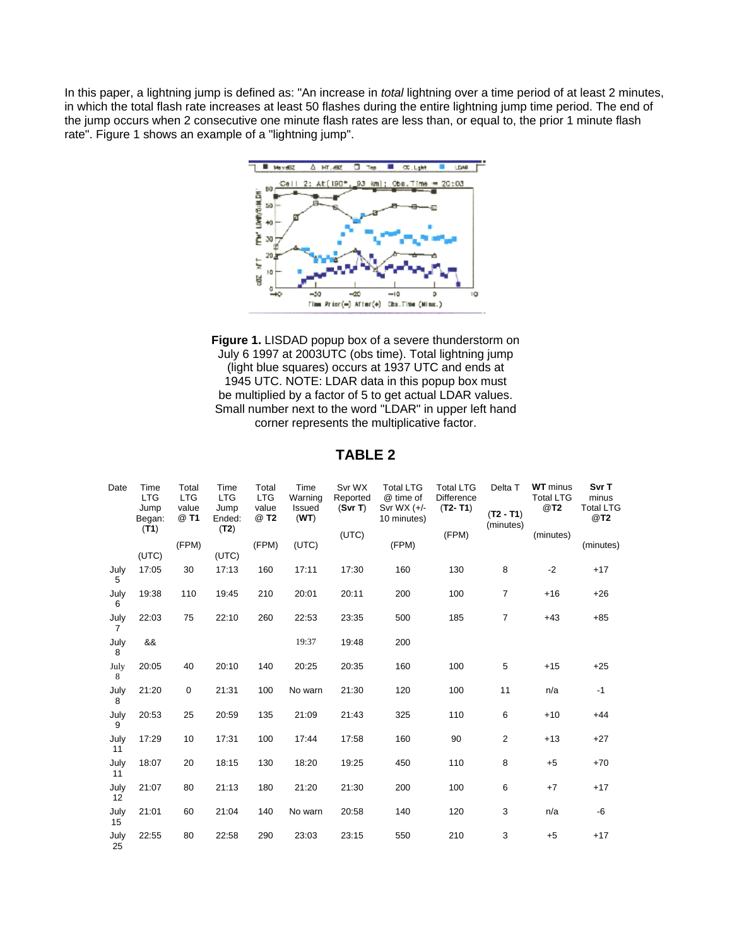In this paper, a lightning jump is defined as: "An increase in *total* lightning over a time period of at least 2 minutes, in which the total flash rate increases at least 50 flashes during the entire lightning jump time period. The end of the jump occurs when 2 consecutive one minute flash rates are less than, or equal to, the prior 1 minute flash rate". Figure 1 shows an example of a "lightning jump".





| Date                   | Time<br><b>LTG</b><br>Jump<br>Began: | Total<br><b>LTG</b><br>value<br>@ T1 | Time<br><b>LTG</b><br>Jump<br>Ended: | Total<br><b>LTG</b><br>value<br>@ T2 | Time<br>Warning<br>Issued<br>(WT) | Svr WX<br>Reported<br>(Svr T) | <b>Total LTG</b><br>@ time of<br>Svr WX $(+/-)$<br>10 minutes) | <b>Total LTG</b><br>Difference<br>$(T2-T1)$ | Delta T<br>$(T2 - T1)$ | <b>WT</b> minus<br><b>Total LTG</b><br>@T2 | Svr T<br>minus<br><b>Total LTG</b><br>@T2 |
|------------------------|--------------------------------------|--------------------------------------|--------------------------------------|--------------------------------------|-----------------------------------|-------------------------------|----------------------------------------------------------------|---------------------------------------------|------------------------|--------------------------------------------|-------------------------------------------|
|                        | (T1)                                 | (FPM)                                | (T2)                                 | (FPM)                                | (UTC)                             | (UTC)                         | (FPM)                                                          | (FPM)                                       | (minutes)              | (minutes)                                  | (minutes)                                 |
|                        | (UTC)                                |                                      | (UTC)                                |                                      |                                   |                               |                                                                |                                             |                        |                                            |                                           |
| July<br>5              | 17:05                                | 30                                   | 17:13                                | 160                                  | 17:11                             | 17:30                         | 160                                                            | 130                                         | 8                      | $-2$                                       | $+17$                                     |
| July<br>6              | 19:38                                | 110                                  | 19:45                                | 210                                  | 20:01                             | 20:11                         | 200                                                            | 100                                         | $\overline{7}$         | $+16$                                      | $+26$                                     |
| July<br>$\overline{7}$ | 22:03                                | 75                                   | 22:10                                | 260                                  | 22:53                             | 23:35                         | 500                                                            | 185                                         | $\overline{7}$         | $+43$                                      | $+85$                                     |
| July<br>8              | &&                                   |                                      |                                      |                                      | 19:37                             | 19:48                         | 200                                                            |                                             |                        |                                            |                                           |
| July<br>8              | 20:05                                | 40                                   | 20:10                                | 140                                  | 20:25                             | 20:35                         | 160                                                            | 100                                         | 5                      | $+15$                                      | $+25$                                     |
| July<br>8              | 21:20                                | $\mathbf 0$                          | 21:31                                | 100                                  | No warn                           | 21:30                         | 120                                                            | 100                                         | 11                     | n/a                                        | $-1$                                      |
| July<br>9              | 20:53                                | 25                                   | 20:59                                | 135                                  | 21:09                             | 21:43                         | 325                                                            | 110                                         | 6                      | $+10$                                      | $+44$                                     |
| July<br>11             | 17:29                                | 10                                   | 17:31                                | 100                                  | 17:44                             | 17:58                         | 160                                                            | 90                                          | $\overline{2}$         | $+13$                                      | $+27$                                     |
| July<br>11             | 18:07                                | 20                                   | 18:15                                | 130                                  | 18:20                             | 19:25                         | 450                                                            | 110                                         | 8                      | $+5$                                       | $+70$                                     |
| July<br>12             | 21:07                                | 80                                   | 21:13                                | 180                                  | 21:20                             | 21:30                         | 200                                                            | 100                                         | 6                      | $+7$                                       | $+17$                                     |
| July<br>15             | 21:01                                | 60                                   | 21:04                                | 140                                  | No warn                           | 20:58                         | 140                                                            | 120                                         | 3                      | n/a                                        | -6                                        |
| July<br>25             | 22:55                                | 80                                   | 22:58                                | 290                                  | 23:03                             | 23:15                         | 550                                                            | 210                                         | 3                      | $+5$                                       | $+17$                                     |

# **TABLE 2**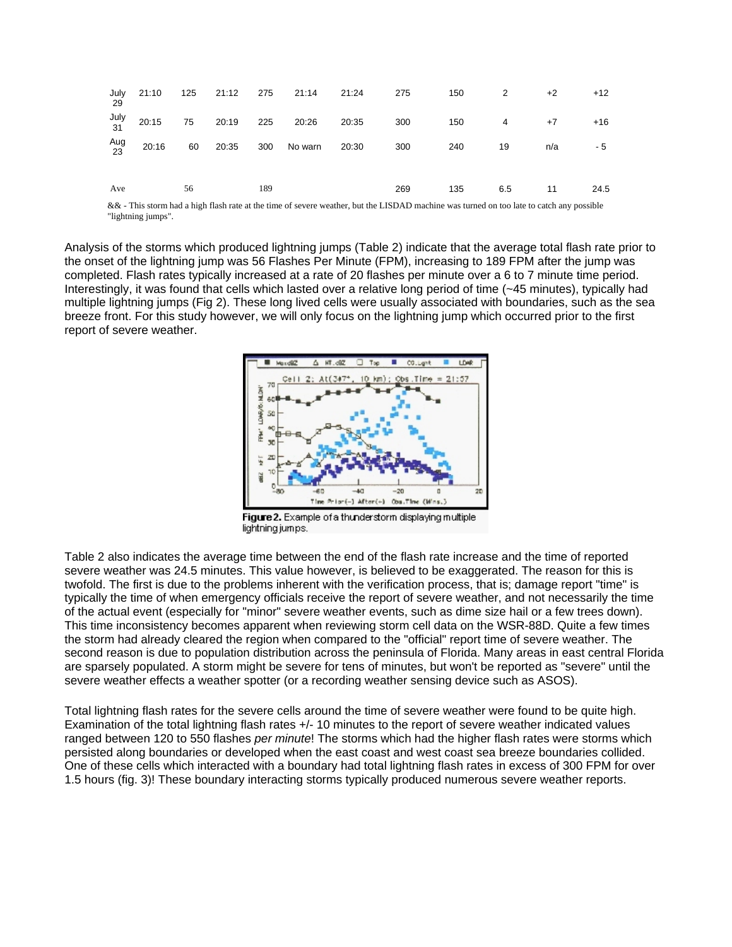| July<br>-29 |                    |    |     | 21:10  125  21:12  275  21:14  21:24  275 |     |     | 150 2                | $+2$ | $+12$ |
|-------------|--------------------|----|-----|-------------------------------------------|-----|-----|----------------------|------|-------|
| July<br>31  |                    |    |     | 20:15 75 20:19 225 20:26 20:35            | 300 |     | $150 \t\t 4 \t\t +7$ |      | +16   |
| Aug<br>23   | 20:16 60 20:35 300 |    |     | No warn 20:30                             | 300 | 240 | 19                   | n/a  | - 5   |
| Ave         |                    | 56 | 189 |                                           | 269 | 135 | 6.5                  | 11   | 24.5  |

&& - This storm had a high flash rate at the time of severe weather, but the LISDAD machine was turned on too late to catch any possible "lightning jumps".

Analysis of the storms which produced lightning jumps (Table 2) indicate that the average total flash rate prior to the onset of the lightning jump was 56 Flashes Per Minute (FPM), increasing to 189 FPM after the jump was completed. Flash rates typically increased at a rate of 20 flashes per minute over a 6 to 7 minute time period. Interestingly, it was found that cells which lasted over a relative long period of time (~45 minutes), typically had multiple lightning jumps (Fig 2). These long lived cells were usually associated with boundaries, such as the sea breeze front. For this study however, we will only focus on the lightning jump which occurred prior to the first report of severe weather.



Figure 2. Example of a thunderstorm displaying multiple lightning jumps.

Table 2 also indicates the average time between the end of the flash rate increase and the time of reported severe weather was 24.5 minutes. This value however, is believed to be exaggerated. The reason for this is twofold. The first is due to the problems inherent with the verification process, that is; damage report "time" is typically the time of when emergency officials receive the report of severe weather, and not necessarily the time of the actual event (especially for "minor" severe weather events, such as dime size hail or a few trees down). This time inconsistency becomes apparent when reviewing storm cell data on the WSR-88D. Quite a few times the storm had already cleared the region when compared to the "official" report time of severe weather. The second reason is due to population distribution across the peninsula of Florida. Many areas in east central Florida are sparsely populated. A storm might be severe for tens of minutes, but won't be reported as "severe" until the severe weather effects a weather spotter (or a recording weather sensing device such as ASOS).

Total lightning flash rates for the severe cells around the time of severe weather were found to be quite high. Examination of the total lightning flash rates +/- 10 minutes to the report of severe weather indicated values ranged between 120 to 550 flashes *per minute*! The storms which had the higher flash rates were storms which persisted along boundaries or developed when the east coast and west coast sea breeze boundaries collided. One of these cells which interacted with a boundary had total lightning flash rates in excess of 300 FPM for over 1.5 hours (fig. 3)! These boundary interacting storms typically produced numerous severe weather reports.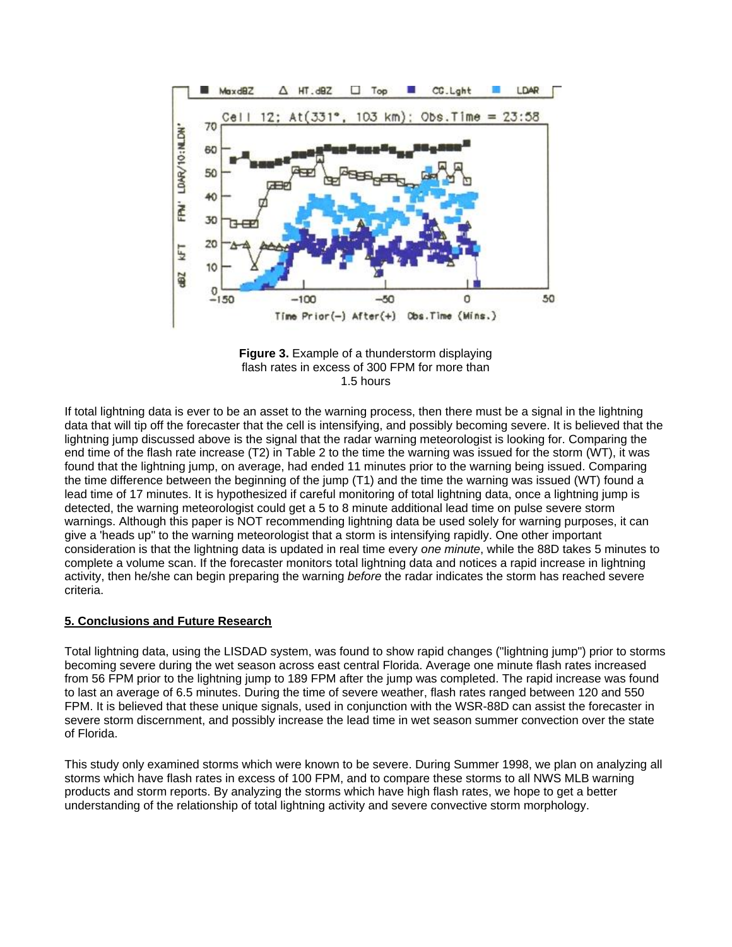

**Figure 3.** Example of a thunderstorm displaying flash rates in excess of 300 FPM for more than 1.5 hours

If total lightning data is ever to be an asset to the warning process, then there must be a signal in the lightning data that will tip off the forecaster that the cell is intensifying, and possibly becoming severe. It is believed that the lightning jump discussed above is the signal that the radar warning meteorologist is looking for. Comparing the end time of the flash rate increase (T2) in Table 2 to the time the warning was issued for the storm (WT), it was found that the lightning jump, on average, had ended 11 minutes prior to the warning being issued. Comparing the time difference between the beginning of the jump (T1) and the time the warning was issued (WT) found a lead time of 17 minutes. It is hypothesized if careful monitoring of total lightning data, once a lightning jump is detected, the warning meteorologist could get a 5 to 8 minute additional lead time on pulse severe storm warnings. Although this paper is NOT recommending lightning data be used solely for warning purposes, it can give a 'heads up" to the warning meteorologist that a storm is intensifying rapidly. One other important consideration is that the lightning data is updated in real time every *one minute*, while the 88D takes 5 minutes to complete a volume scan. If the forecaster monitors total lightning data and notices a rapid increase in lightning activity, then he/she can begin preparing the warning *before* the radar indicates the storm has reached severe criteria.

#### **5. Conclusions and Future Research**

Total lightning data, using the LISDAD system, was found to show rapid changes ("lightning jump") prior to storms becoming severe during the wet season across east central Florida. Average one minute flash rates increased from 56 FPM prior to the lightning jump to 189 FPM after the jump was completed. The rapid increase was found to last an average of 6.5 minutes. During the time of severe weather, flash rates ranged between 120 and 550 FPM. It is believed that these unique signals, used in conjunction with the WSR-88D can assist the forecaster in severe storm discernment, and possibly increase the lead time in wet season summer convection over the state of Florida.

This study only examined storms which were known to be severe. During Summer 1998, we plan on analyzing all storms which have flash rates in excess of 100 FPM, and to compare these storms to all NWS MLB warning products and storm reports. By analyzing the storms which have high flash rates, we hope to get a better understanding of the relationship of total lightning activity and severe convective storm morphology.